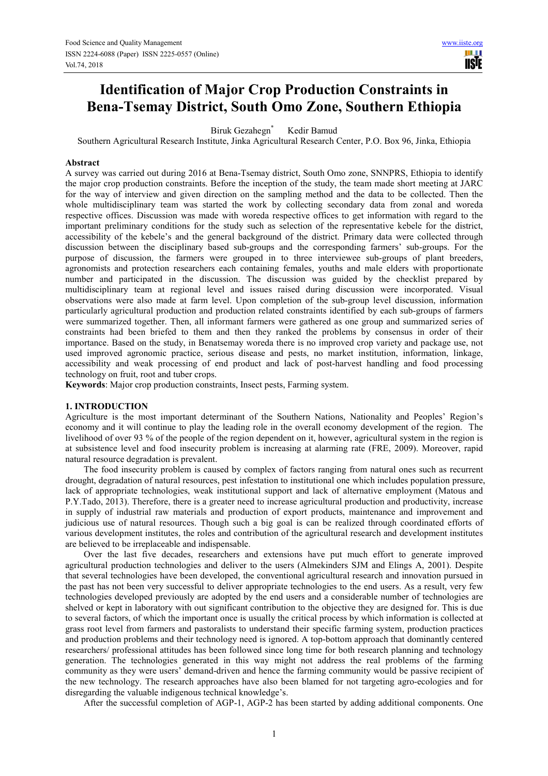# **Identification of Major Crop Production Constraints in Bena-Tsemay District, South Omo Zone, Southern Ethiopia**

Biruk Gezahegn\* Kedir Bamud

Southern Agricultural Research Institute, Jinka Agricultural Research Center, P.O. Box 96, Jinka, Ethiopia

#### **Abstract**

A survey was carried out during 2016 at Bena-Tsemay district, South Omo zone, SNNPRS, Ethiopia to identify the major crop production constraints. Before the inception of the study, the team made short meeting at JARC for the way of interview and given direction on the sampling method and the data to be collected. Then the whole multidisciplinary team was started the work by collecting secondary data from zonal and woreda respective offices. Discussion was made with woreda respective offices to get information with regard to the important preliminary conditions for the study such as selection of the representative kebele for the district, accessibility of the kebele's and the general background of the district. Primary data were collected through discussion between the disciplinary based sub-groups and the corresponding farmers' sub-groups. For the purpose of discussion, the farmers were grouped in to three interviewee sub-groups of plant breeders, agronomists and protection researchers each containing females, youths and male elders with proportionate number and participated in the discussion. The discussion was guided by the checklist prepared by multidisciplinary team at regional level and issues raised during discussion were incorporated. Visual observations were also made at farm level. Upon completion of the sub-group level discussion, information particularly agricultural production and production related constraints identified by each sub-groups of farmers were summarized together. Then, all informant farmers were gathered as one group and summarized series of constraints had been briefed to them and then they ranked the problems by consensus in order of their importance. Based on the study, in Benatsemay woreda there is no improved crop variety and package use, not used improved agronomic practice, serious disease and pests, no market institution, information, linkage, accessibility and weak processing of end product and lack of post-harvest handling and food processing technology on fruit, root and tuber crops.

**Keywords**: Major crop production constraints, Insect pests, Farming system.

#### **1. INTRODUCTION**

Agriculture is the most important determinant of the Southern Nations, Nationality and Peoples' Region's economy and it will continue to play the leading role in the overall economy development of the region. The livelihood of over 93 % of the people of the region dependent on it, however, agricultural system in the region is at subsistence level and food insecurity problem is increasing at alarming rate (FRE, 2009). Moreover, rapid natural resource degradation is prevalent.

The food insecurity problem is caused by complex of factors ranging from natural ones such as recurrent drought, degradation of natural resources, pest infestation to institutional one which includes population pressure, lack of appropriate technologies, weak institutional support and lack of alternative employment (Matous and P.Y.Tado, 2013). Therefore, there is a greater need to increase agricultural production and productivity, increase in supply of industrial raw materials and production of export products, maintenance and improvement and judicious use of natural resources. Though such a big goal is can be realized through coordinated efforts of various development institutes, the roles and contribution of the agricultural research and development institutes are believed to be irreplaceable and indispensable.

Over the last five decades, researchers and extensions have put much effort to generate improved agricultural production technologies and deliver to the users (Almekinders SJM and Elings A, 2001). Despite that several technologies have been developed, the conventional agricultural research and innovation pursued in the past has not been very successful to deliver appropriate technologies to the end users. As a result, very few technologies developed previously are adopted by the end users and a considerable number of technologies are shelved or kept in laboratory with out significant contribution to the objective they are designed for. This is due to several factors, of which the important once is usually the critical process by which information is collected at grass root level from farmers and pastoralists to understand their specific farming system, production practices and production problems and their technology need is ignored. A top-bottom approach that dominantly centered researchers/ professional attitudes has been followed since long time for both research planning and technology generation. The technologies generated in this way might not address the real problems of the farming community as they were users' demand-driven and hence the farming community would be passive recipient of the new technology. The research approaches have also been blamed for not targeting agro-ecologies and for disregarding the valuable indigenous technical knowledge's.

After the successful completion of AGP-1, AGP-2 has been started by adding additional components. One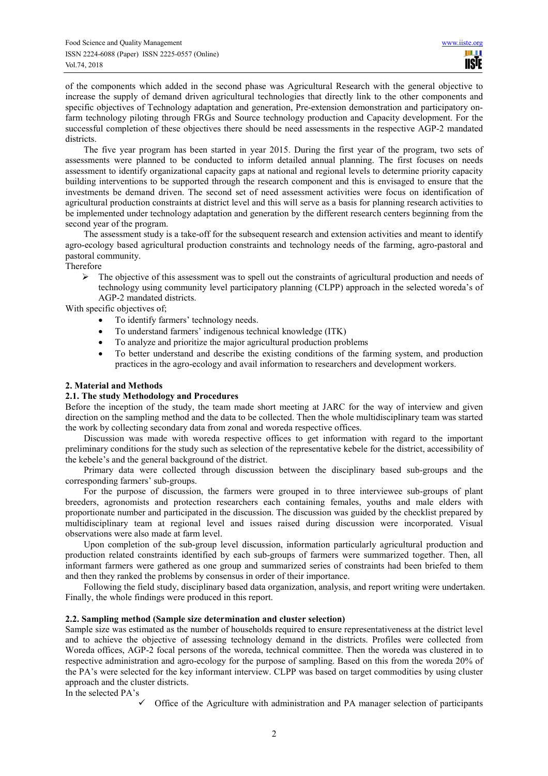of the components which added in the second phase was Agricultural Research with the general objective to increase the supply of demand driven agricultural technologies that directly link to the other components and specific objectives of Technology adaptation and generation, Pre-extension demonstration and participatory onfarm technology piloting through FRGs and Source technology production and Capacity development. For the successful completion of these objectives there should be need assessments in the respective AGP-2 mandated districts.

The five year program has been started in year 2015. During the first year of the program, two sets of assessments were planned to be conducted to inform detailed annual planning. The first focuses on needs assessment to identify organizational capacity gaps at national and regional levels to determine priority capacity building interventions to be supported through the research component and this is envisaged to ensure that the investments be demand driven. The second set of need assessment activities were focus on identification of agricultural production constraints at district level and this will serve as a basis for planning research activities to be implemented under technology adaptation and generation by the different research centers beginning from the second year of the program.

The assessment study is a take-off for the subsequent research and extension activities and meant to identify agro-ecology based agricultural production constraints and technology needs of the farming, agro-pastoral and pastoral community.

Therefore

 $\triangleright$  The objective of this assessment was to spell out the constraints of agricultural production and needs of technology using community level participatory planning (CLPP) approach in the selected woreda's of AGP-2 mandated districts.

With specific objectives of;

- To identify farmers' technology needs.
- To understand farmers' indigenous technical knowledge (ITK)
- To analyze and prioritize the major agricultural production problems
- To better understand and describe the existing conditions of the farming system, and production practices in the agro-ecology and avail information to researchers and development workers.

# **2. Material and Methods**

## **2.1. The study Methodology and Procedures**

Before the inception of the study, the team made short meeting at JARC for the way of interview and given direction on the sampling method and the data to be collected. Then the whole multidisciplinary team was started the work by collecting secondary data from zonal and woreda respective offices.

Discussion was made with woreda respective offices to get information with regard to the important preliminary conditions for the study such as selection of the representative kebele for the district, accessibility of the kebele's and the general background of the district.

Primary data were collected through discussion between the disciplinary based sub-groups and the corresponding farmers' sub-groups.

For the purpose of discussion, the farmers were grouped in to three interviewee sub-groups of plant breeders, agronomists and protection researchers each containing females, youths and male elders with proportionate number and participated in the discussion. The discussion was guided by the checklist prepared by multidisciplinary team at regional level and issues raised during discussion were incorporated. Visual observations were also made at farm level.

Upon completion of the sub-group level discussion, information particularly agricultural production and production related constraints identified by each sub-groups of farmers were summarized together. Then, all informant farmers were gathered as one group and summarized series of constraints had been briefed to them and then they ranked the problems by consensus in order of their importance.

Following the field study, disciplinary based data organization, analysis, and report writing were undertaken. Finally, the whole findings were produced in this report.

# **2.2. Sampling method (Sample size determination and cluster selection)**

Sample size was estimated as the number of households required to ensure representativeness at the district level and to achieve the objective of assessing technology demand in the districts. Profiles were collected from Woreda offices, AGP-2 focal persons of the woreda, technical committee. Then the woreda was clustered in to respective administration and agro-ecology for the purpose of sampling. Based on this from the woreda 20% of the PA's were selected for the key informant interview. CLPP was based on target commodities by using cluster approach and the cluster districts.

In the selected PA's

 $\checkmark$ Office of the Agriculture with administration and PA manager selection of participants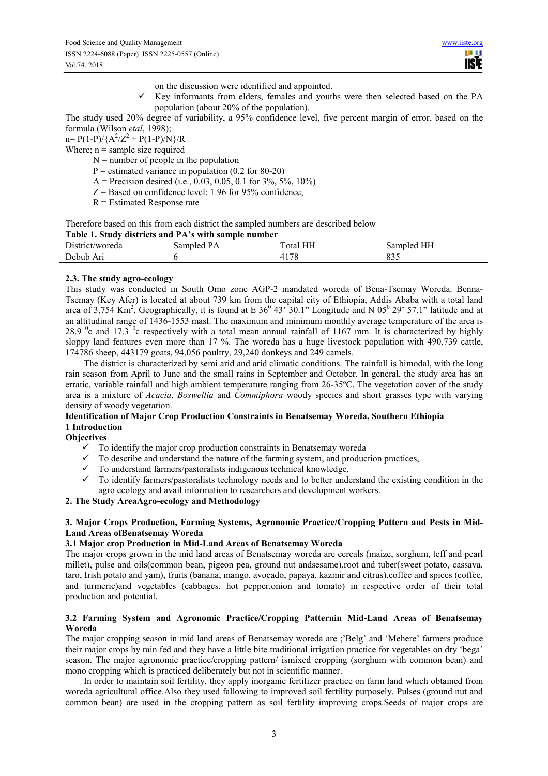HI H **USE** 

on the discussion were identified and appointed.

 $\checkmark$  Key informants from elders, females and youths were then selected based on the PA population (about 20% of the population).

The study used 20% degree of variability, a 95% confidence level, five percent margin of error, based on the formula (Wilson *etal*, 1998);

 $n = P(1-P)/{A^2/Z^2} + P(1-P)/N}/R$ 

Where;  $n =$  sample size required

 $N =$  number of people in the population

 $P =$  estimated variance in population (0.2 for 80-20)

A = Precision desired (i.e., 0.03, 0.05, 0.1 for  $3\%$ ,  $5\%$ ,  $10\%$ )

- $Z =$ Based on confidence level: 1.96 for 95% confidence,
- $R =$  Estimated Response rate

Therefore based on this from each district the sampled numbers are described below

# **Table 1. Study districts and PA's with sample number**

| $\mathbf{r}$ .<br>District/woreda | −oam<br>nnied | <b>TTT</b><br>otal<br>пп | HH<br>mpled<br>- Sal |
|-----------------------------------|---------------|--------------------------|----------------------|
| Debub                             |               | 17C                      | ົ                    |
| Arı                               |               | -c                       |                      |

#### **2.3. The study agro-ecology**

This study was conducted in South Omo zone AGP-2 mandated woreda of Bena-Tsemay Woreda. Benna-Tsemay (Key Afer) is located at about 739 km from the capital city of Ethiopia, Addis Ababa with a total land area of 3.754 Km<sup>2</sup>. Geographically, it is found at E 36<sup>0</sup> 43<sup>3</sup> 30.1" Longitude and N 05<sup>0</sup> 29' 57.1" latitude and at an altitudinal range of 1436-1553 masl. The maximum and minimum monthly average temperature of the area is 28.9  $\degree$ c and 17.3  $\degree$ c respectively with a total mean annual rainfall of 1167 mm. It is characterized by highly sloppy land features even more than 17 %. The woreda has a huge livestock population with 490,739 cattle, 174786 sheep, 443179 goats, 94,056 poultry, 29,240 donkeys and 249 camels.

The district is characterized by semi arid and arid climatic conditions. The rainfall is bimodal, with the long rain season from April to June and the small rains in September and October. In general, the study area has an erratic, variable rainfall and high ambient temperature ranging from 26-35ºC. The vegetation cover of the study area is a mixture of *Acacia*, *Boswellia* and *Commiphora* woody species and short grasses type with varying density of woody vegetation.

# **Identification of Major Crop Production Constraints in Benatsemay Woreda, Southern Ethiopia 1 Introduction**

**Objectives** 

- $\checkmark$  To identify the major crop production constraints in Benatsemay woreda
- $\checkmark$  To describe and understand the nature of the farming system, and production practices,
- $\checkmark$  To understand farmers/pastoralists indigenous technical knowledge,
- $\checkmark$  To identify farmers/pastoralists technology needs and to better understand the existing condition in the agro ecology and avail information to researchers and development workers.

## **2. The Study AreaAgro-ecology and Methodology**

## **3. Major Crops Production, Farming Systems, Agronomic Practice/Cropping Pattern and Pests in Mid-Land Areas ofBenatsemay Woreda**

### **3.1 Major crop Production in Mid-Land Areas of Benatsemay Woreda**

The major crops grown in the mid land areas of Benatsemay woreda are cereals (maize, sorghum, teff and pearl millet), pulse and oils(common bean, pigeon pea, ground nut andsesame),root and tuber(sweet potato, cassava, taro, Irish potato and yam), fruits (banana, mango, avocado, papaya, kazmir and citrus),coffee and spices (coffee, and turmeric)and vegetables (cabbages, hot pepper,onion and tomato) in respective order of their total production and potential.

## **3.2 Farming System and Agronomic Practice/Cropping Patternin Mid-Land Areas of Benatsemay Woreda**

The major cropping season in mid land areas of Benatsemay woreda are ;'Belg' and 'Mehere' farmers produce their major crops by rain fed and they have a little bite traditional irrigation practice for vegetables on dry 'bega' season. The major agronomic practice/cropping pattern/ ismixed cropping (sorghum with common bean) and mono cropping which is practiced deliberately but not in scientific manner.

In order to maintain soil fertility, they apply inorganic fertilizer practice on farm land which obtained from woreda agricultural office.Also they used fallowing to improved soil fertility purposely. Pulses (ground nut and common bean) are used in the cropping pattern as soil fertility improving crops.Seeds of major crops are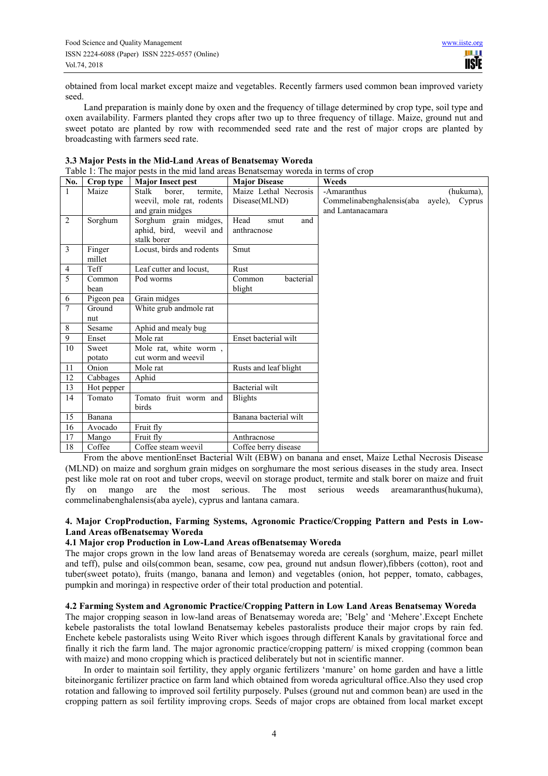obtained from local market except maize and vegetables. Recently farmers used common bean improved variety seed.

Land preparation is mainly done by oxen and the frequency of tillage determined by crop type, soil type and oxen availability. Farmers planted they crops after two up to three frequency of tillage. Maize, ground nut and sweet potato are planted by row with recommended seed rate and the rest of major crops are planted by broadcasting with farmers seed rate.

| Table 1: The major pests in the mid land areas Benatsemay woreda in terms of crop |            |                                        |                       |                                   |           |  |  |
|-----------------------------------------------------------------------------------|------------|----------------------------------------|-----------------------|-----------------------------------|-----------|--|--|
| No.                                                                               | Crop type  | <b>Major Insect pest</b>               | <b>Major Disease</b>  | Weeds                             |           |  |  |
| $\mathbf{1}$                                                                      | Maize      | <b>Stalk</b><br>borer.<br>termite.     | Maize Lethal Necrosis | -Amaranthus                       | (hukuma). |  |  |
|                                                                                   |            | weevil, mole rat, rodents              | Disease(MLND)         | Commelinabenghalensis(aba ayele), | Cyprus    |  |  |
|                                                                                   |            | and grain midges                       |                       | and Lantanacamara                 |           |  |  |
| 2                                                                                 | Sorghum    | Sorghum grain midges,                  | Head<br>and<br>smut   |                                   |           |  |  |
|                                                                                   |            | aphid, bird, weevil and<br>stalk borer | anthracnose           |                                   |           |  |  |
| 3                                                                                 | Finger     | Locust, birds and rodents              | Smut                  |                                   |           |  |  |
|                                                                                   | millet     |                                        |                       |                                   |           |  |  |
| 4                                                                                 | Teff       | Leaf cutter and locust,                | Rust                  |                                   |           |  |  |
| 5                                                                                 | Common     | Pod worms                              | bacterial<br>Common   |                                   |           |  |  |
|                                                                                   | bean       |                                        | blight                |                                   |           |  |  |
| 6                                                                                 | Pigeon pea | Grain midges                           |                       |                                   |           |  |  |
| 7                                                                                 | Ground     | White grub andmole rat                 |                       |                                   |           |  |  |
|                                                                                   | nut        |                                        |                       |                                   |           |  |  |
| 8                                                                                 | Sesame     | Aphid and mealy bug                    |                       |                                   |           |  |  |
| 9                                                                                 | Enset      | Mole rat                               | Enset bacterial wilt  |                                   |           |  |  |
| 10                                                                                | Sweet      | Mole rat, white worm,                  |                       |                                   |           |  |  |
|                                                                                   | potato     | cut worm and weevil                    |                       |                                   |           |  |  |
| 11                                                                                | Onion      | Mole rat                               | Rusts and leaf blight |                                   |           |  |  |
| 12                                                                                | Cabbages   | Aphid                                  |                       |                                   |           |  |  |
| 13                                                                                | Hot pepper |                                        | Bacterial wilt        |                                   |           |  |  |
| 14                                                                                | Tomato     | Tomato fruit worm and                  | <b>Blights</b>        |                                   |           |  |  |
|                                                                                   |            | birds                                  |                       |                                   |           |  |  |
| 15                                                                                | Banana     |                                        | Banana bacterial wilt |                                   |           |  |  |
| 16                                                                                | Avocado    | Fruit fly                              |                       |                                   |           |  |  |
| 17                                                                                | Mango      | Fruit fly                              | Anthracnose           |                                   |           |  |  |
| 18                                                                                | Coffee     | Coffee steam weevil                    | Coffee berry disease  |                                   |           |  |  |

From the above mentionEnset Bacterial Wilt (EBW) on banana and enset, Maize Lethal Necrosis Disease (MLND) on maize and sorghum grain midges on sorghumare the most serious diseases in the study area. Insect pest like mole rat on root and tuber crops, weevil on storage product, termite and stalk borer on maize and fruit fly on mango are the most serious. The most serious weeds areamaranthus(hukuma), commelinabenghalensis(aba ayele), cyprus and lantana camara.

# **4. Major CropProduction, Farming Systems, Agronomic Practice/Cropping Pattern and Pests in Low-Land Areas ofBenatsemay Woreda**

# **4.1 Major crop Production in Low-Land Areas ofBenatsemay Woreda**

The major crops grown in the low land areas of Benatsemay woreda are cereals (sorghum, maize, pearl millet and teff), pulse and oils(common bean, sesame, cow pea, ground nut andsun flower),fibbers (cotton), root and tuber(sweet potato), fruits (mango, banana and lemon) and vegetables (onion, hot pepper, tomato, cabbages, pumpkin and moringa) in respective order of their total production and potential.

# **4.2 Farming System and Agronomic Practice/Cropping Pattern in Low Land Areas Benatsemay Woreda**

The major cropping season in low-land areas of Benatsemay woreda are; 'Belg' and 'Mehere'.Except Enchete kebele pastoralists the total lowland Benatsemay kebeles pastoralists produce their major crops by rain fed. Enchete kebele pastoralists using Weito River which isgoes through different Kanals by gravitational force and finally it rich the farm land. The major agronomic practice/cropping pattern/ is mixed cropping (common bean with maize) and mono cropping which is practiced deliberately but not in scientific manner.

In order to maintain soil fertility, they apply organic fertilizers 'manure' on home garden and have a little biteinorganic fertilizer practice on farm land which obtained from woreda agricultural office.Also they used crop rotation and fallowing to improved soil fertility purposely. Pulses (ground nut and common bean) are used in the cropping pattern as soil fertility improving crops. Seeds of major crops are obtained from local market except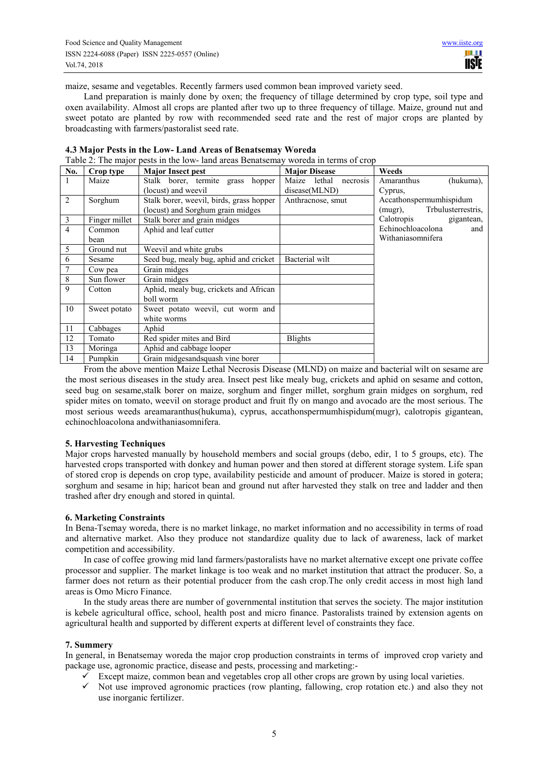maize, sesame and vegetables. Recently farmers used common bean improved variety seed.

Land preparation is mainly done by oxen; the frequency of tillage determined by crop type, soil type and oxen availability. Almost all crops are planted after two up to three frequency of tillage. Maize, ground nut and sweet potato are planted by row with recommended seed rate and the rest of major crops are planted by broadcasting with farmers/pastoralist seed rate.

|     | Table 2. The major pests in the low- land areas Denatsemay worlda in terms of crop |                                          |                             |                                  |  |  |  |  |  |
|-----|------------------------------------------------------------------------------------|------------------------------------------|-----------------------------|----------------------------------|--|--|--|--|--|
| No. | Crop type                                                                          | <b>Major Insect pest</b>                 | <b>Major Disease</b>        | Weeds                            |  |  |  |  |  |
|     | Maize                                                                              | Stalk borer, termite grass hopper        | necrosis<br>Maize<br>lethal | (hukuma),<br>Amaranthus          |  |  |  |  |  |
|     |                                                                                    | (locust) and weevil                      | disease(MLND)               | Cyprus,                          |  |  |  |  |  |
| 2   | Sorghum                                                                            | Stalk borer, weevil, birds, grass hopper | Anthracnose, smut           | Accathonspermumhispidum          |  |  |  |  |  |
|     |                                                                                    | (locust) and Sorghum grain midges        |                             | Trbulusterrestris.<br>$(mugr)$ , |  |  |  |  |  |
| 3   | Finger millet                                                                      | Stalk borer and grain midges             |                             | Calotropis<br>gigantean,         |  |  |  |  |  |
| 4   | Common                                                                             | Aphid and leaf cutter                    |                             | Echinochloacolona<br>and         |  |  |  |  |  |
|     | bean                                                                               |                                          |                             | Withaniasomnifera                |  |  |  |  |  |
| 5   | Ground nut                                                                         | Weevil and white grubs                   |                             |                                  |  |  |  |  |  |
| 6   | Sesame                                                                             | Seed bug, mealy bug, aphid and cricket   | Bacterial wilt              |                                  |  |  |  |  |  |
|     | Cow pea                                                                            | Grain midges                             |                             |                                  |  |  |  |  |  |
| 8   | Sun flower                                                                         | Grain midges                             |                             |                                  |  |  |  |  |  |
| 9   | Cotton                                                                             | Aphid, mealy bug, crickets and African   |                             |                                  |  |  |  |  |  |
|     |                                                                                    | boll worm                                |                             |                                  |  |  |  |  |  |
| 10  | Sweet potato                                                                       | Sweet potato weevil, cut worm and        |                             |                                  |  |  |  |  |  |
|     |                                                                                    | white worms                              |                             |                                  |  |  |  |  |  |
| 11  | Cabbages                                                                           | Aphid                                    |                             |                                  |  |  |  |  |  |
| 12  | Tomato                                                                             | Red spider mites and Bird                | <b>Blights</b>              |                                  |  |  |  |  |  |
| 13  | Moringa                                                                            | Aphid and cabbage looper                 |                             |                                  |  |  |  |  |  |
| 14  | Pumpkin                                                                            | Grain midgesandsquash vine borer         |                             |                                  |  |  |  |  |  |

**4.3 Major Pests in the Low- Land Areas of Benatsemay Woreda**  Table 2: The major pests in the low- land areas Benatsemay woreda in terms of crop

From the above mention Maize Lethal Necrosis Disease (MLND) on maize and bacterial wilt on sesame are the most serious diseases in the study area. Insect pest like mealy bug, crickets and aphid on sesame and cotton, seed bug on sesame,stalk borer on maize, sorghum and finger millet, sorghum grain midges on sorghum, red spider mites on tomato, weevil on storage product and fruit fly on mango and avocado are the most serious. The most serious weeds areamaranthus(hukuma), cyprus, accathonspermumhispidum(mugr), calotropis gigantean, echinochloacolona andwithaniasomnifera.

# **5. Harvesting Techniques**

Major crops harvested manually by household members and social groups (debo, edir, 1 to 5 groups, etc). The harvested crops transported with donkey and human power and then stored at different storage system. Life span of stored crop is depends on crop type, availability pesticide and amount of producer. Maize is stored in gotera; sorghum and sesame in hip; haricot bean and ground nut after harvested they stalk on tree and ladder and then trashed after dry enough and stored in quintal.

#### **6. Marketing Constraints**

In Bena-Tsemay woreda, there is no market linkage, no market information and no accessibility in terms of road and alternative market. Also they produce not standardize quality due to lack of awareness, lack of market competition and accessibility.

In case of coffee growing mid land farmers/pastoralists have no market alternative except one private coffee processor and supplier. The market linkage is too weak and no market institution that attract the producer. So, a farmer does not return as their potential producer from the cash crop.The only credit access in most high land areas is Omo Micro Finance.

In the study areas there are number of governmental institution that serves the society. The major institution is kebele agricultural office, school, health post and micro finance. Pastoralists trained by extension agents on agricultural health and supported by different experts at different level of constraints they face.

### **7. Summery**

In general, in Benatsemay woreda the major crop production constraints in terms of improved crop variety and package use, agronomic practice, disease and pests, processing and marketing:-

- $\checkmark$  Except maize, common bean and vegetables crop all other crops are grown by using local varieties.
- $\checkmark$  Not use improved agronomic practices (row planting, fallowing, crop rotation etc.) and also they not use inorganic fertilizer.